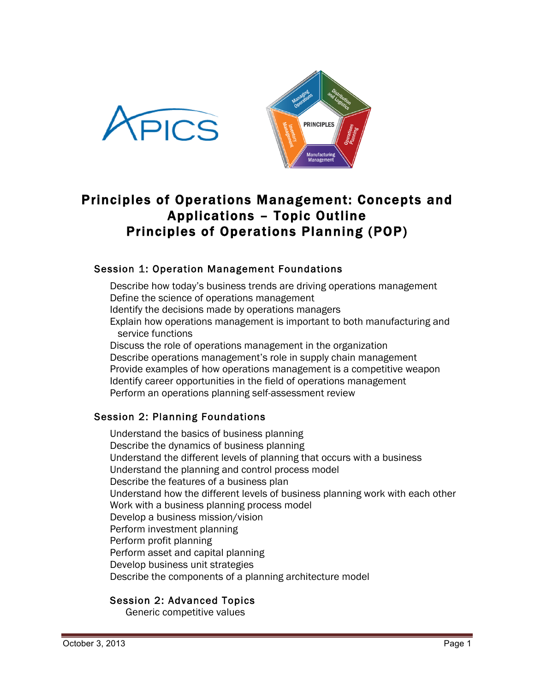



# Principles of Operations Management: Concepts and Applications – Topic Outline Principles of Operations Planning (POP)

# Session 1: Operation Management Foundations

Describe how today's business trends are driving operations management Define the science of operations management Identify the decisions made by operations managers Explain how operations management is important to both manufacturing and service functions Discuss the role of operations management in the organization Describe operations management's role in supply chain management Provide examples of how operations management is a competitive weapon Identify career opportunities in the field of operations management Perform an operations planning self-assessment review

# Session 2: Planning Foundations

Understand the basics of business planning Describe the dynamics of business planning Understand the different levels of planning that occurs with a business Understand the planning and control process model Describe the features of a business plan Understand how the different levels of business planning work with each other Work with a business planning process model Develop a business mission/vision Perform investment planning Perform profit planning Perform asset and capital planning Develop business unit strategies Describe the components of a planning architecture model

# Session 2: Advanced Topics

Generic competitive values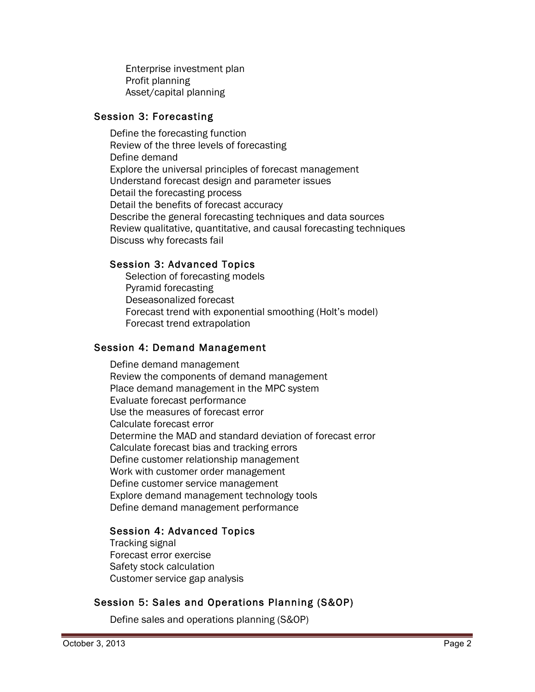Enterprise investment plan Profit planning Asset/capital planning

# Session 3: Forecasting

Define the forecasting function Review of the three levels of forecasting Define demand Explore the universal principles of forecast management Understand forecast design and parameter issues Detail the forecasting process Detail the benefits of forecast accuracy Describe the general forecasting techniques and data sources Review qualitative, quantitative, and causal forecasting techniques Discuss why forecasts fail

# Session 3: Advanced Topics

Selection of forecasting models Pyramid forecasting Deseasonalized forecast Forecast trend with exponential smoothing (Holt's model) Forecast trend extrapolation

# Session 4: Demand Management

Define demand management Review the components of demand management Place demand management in the MPC system Evaluate forecast performance Use the measures of forecast error Calculate forecast error Determine the MAD and standard deviation of forecast error Calculate forecast bias and tracking errors Define customer relationship management Work with customer order management Define customer service management Explore demand management technology tools Define demand management performance

# Session 4: Advanced Topics

Tracking signal Forecast error exercise Safety stock calculation Customer service gap analysis

# Session 5: Sales and Operations Planning (S&OP)

Define sales and operations planning (S&OP)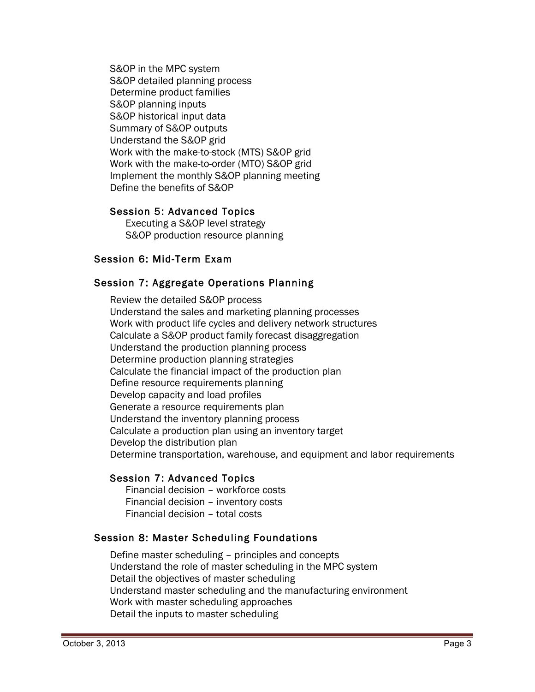S&OP in the MPC system S&OP detailed planning process Determine product families S&OP planning inputs S&OP historical input data Summary of S&OP outputs Understand the S&OP grid Work with the make-to-stock (MTS) S&OP grid Work with the make-to-order (MTO) S&OP grid Implement the monthly S&OP planning meeting Define the benefits of S&OP

#### Session 5: Advanced Topics

Executing a S&OP level strategy S&OP production resource planning

#### Session 6: Mid-Term Exam

#### Session 7: Aggregate Operations Planning

Review the detailed S&OP process Understand the sales and marketing planning processes Work with product life cycles and delivery network structures Calculate a S&OP product family forecast disaggregation Understand the production planning process Determine production planning strategies Calculate the financial impact of the production plan Define resource requirements planning Develop capacity and load profiles Generate a resource requirements plan Understand the inventory planning process Calculate a production plan using an inventory target Develop the distribution plan Determine transportation, warehouse, and equipment and labor requirements

# Session 7: Advanced Topics

Financial decision – workforce costs Financial decision – inventory costs Financial decision – total costs

#### Session 8: Master Scheduling Foundations

Define master scheduling – principles and concepts Understand the role of master scheduling in the MPC system Detail the objectives of master scheduling Understand master scheduling and the manufacturing environment Work with master scheduling approaches Detail the inputs to master scheduling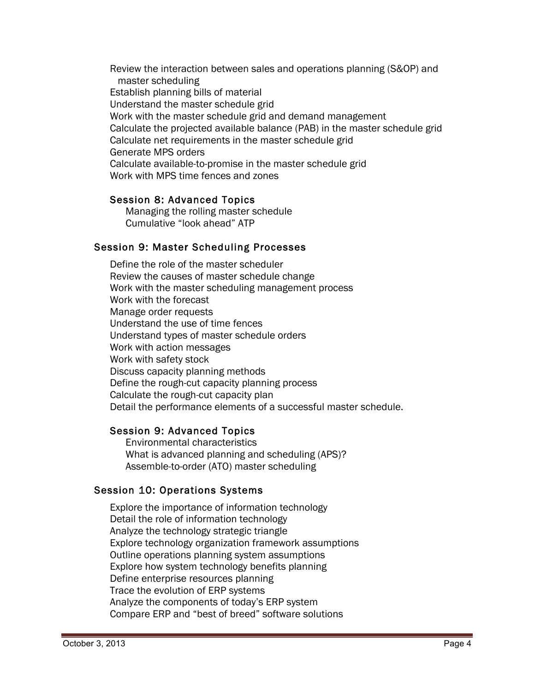Review the interaction between sales and operations planning (S&OP) and master scheduling Establish planning bills of material Understand the master schedule grid Work with the master schedule grid and demand management Calculate the projected available balance (PAB) in the master schedule grid Calculate net requirements in the master schedule grid Generate MPS orders Calculate available-to-promise in the master schedule grid Work with MPS time fences and zones

#### Session 8: Advanced Topics

Managing the rolling master schedule Cumulative "look ahead" ATP

#### Session 9: Master Scheduling Processes

Define the role of the master scheduler Review the causes of master schedule change Work with the master scheduling management process Work with the forecast Manage order requests Understand the use of time fences Understand types of master schedule orders Work with action messages Work with safety stock Discuss capacity planning methods Define the rough-cut capacity planning process Calculate the rough-cut capacity plan Detail the performance elements of a successful master schedule.

# Session 9: Advanced Topics

Environmental characteristics What is advanced planning and scheduling (APS)? Assemble-to-order (ATO) master scheduling

# Session 10: Operations Systems

Explore the importance of information technology Detail the role of information technology Analyze the technology strategic triangle Explore technology organization framework assumptions Outline operations planning system assumptions Explore how system technology benefits planning Define enterprise resources planning Trace the evolution of ERP systems Analyze the components of today's ERP system Compare ERP and "best of breed" software solutions